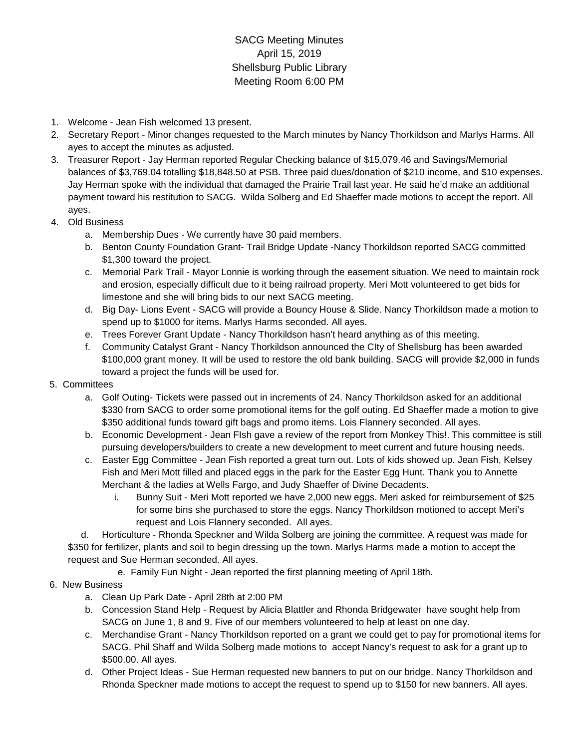## SACG Meeting Minutes April 15, 2019 Shellsburg Public Library Meeting Room 6:00 PM

- 1. Welcome Jean Fish welcomed 13 present.
- 2. Secretary Report Minor changes requested to the March minutes by Nancy Thorkildson and Marlys Harms. All ayes to accept the minutes as adjusted.
- 3. Treasurer Report Jay Herman reported Regular Checking balance of \$15,079.46 and Savings/Memorial balances of \$3,769.04 totalling \$18,848.50 at PSB. Three paid dues/donation of \$210 income, and \$10 expenses. Jay Herman spoke with the individual that damaged the Prairie Trail last year. He said he'd make an additional payment toward his restitution to SACG. Wilda Solberg and Ed Shaeffer made motions to accept the report. All ayes.
- 4. Old Business
	- a. Membership Dues We currently have 30 paid members.
	- b. Benton County Foundation Grant- Trail Bridge Update -Nancy Thorkildson reported SACG committed \$1,300 toward the project.
	- c. Memorial Park Trail Mayor Lonnie is working through the easement situation. We need to maintain rock and erosion, especially difficult due to it being railroad property. Meri Mott volunteered to get bids for limestone and she will bring bids to our next SACG meeting.
	- d. Big Day- Lions Event SACG will provide a Bouncy House & Slide. Nancy Thorkildson made a motion to spend up to \$1000 for items. Marlys Harms seconded. All ayes.
	- e. Trees Forever Grant Update Nancy Thorkildson hasn't heard anything as of this meeting.
	- f. Community Catalyst Grant Nancy Thorkildson announced the CIty of Shellsburg has been awarded \$100,000 grant money. It will be used to restore the old bank building. SACG will provide \$2,000 in funds toward a project the funds will be used for.
- 5. Committees
	- a. Golf Outing- Tickets were passed out in increments of 24. Nancy Thorkildson asked for an additional \$330 from SACG to order some promotional items for the golf outing. Ed Shaeffer made a motion to give \$350 additional funds toward gift bags and promo items. Lois Flannery seconded. All ayes.
	- b. Economic Development Jean FIsh gave a review of the report from Monkey This!. This committee is still pursuing developers/builders to create a new development to meet current and future housing needs.
	- c. Easter Egg Committee Jean Fish reported a great turn out. Lots of kids showed up. Jean Fish, Kelsey Fish and Meri Mott filled and placed eggs in the park for the Easter Egg Hunt. Thank you to Annette Merchant & the ladies at Wells Fargo, and Judy Shaeffer of Divine Decadents.
		- i. Bunny Suit Meri Mott reported we have 2,000 new eggs. Meri asked for reimbursement of \$25 for some bins she purchased to store the eggs. Nancy Thorkildson motioned to accept Meri's request and Lois Flannery seconded. All ayes.

 d. Horticulture - Rhonda Speckner and Wilda Solberg are joining the committee. A request was made for \$350 for fertilizer, plants and soil to begin dressing up the town. Marlys Harms made a motion to accept the request and Sue Herman seconded. All ayes.

- e. Family Fun Night Jean reported the first planning meeting of April 18th.
- 6. New Business
	- a. Clean Up Park Date April 28th at 2:00 PM
	- b. Concession Stand Help Request by Alicia Blattler and Rhonda Bridgewater have sought help from SACG on June 1, 8 and 9. Five of our members volunteered to help at least on one day.
	- c. Merchandise Grant Nancy Thorkildson reported on a grant we could get to pay for promotional items for SACG. Phil Shaff and Wilda Solberg made motions to accept Nancy's request to ask for a grant up to \$500.00. All ayes.
	- d. Other Project Ideas Sue Herman requested new banners to put on our bridge. Nancy Thorkildson and Rhonda Speckner made motions to accept the request to spend up to \$150 for new banners. All ayes.